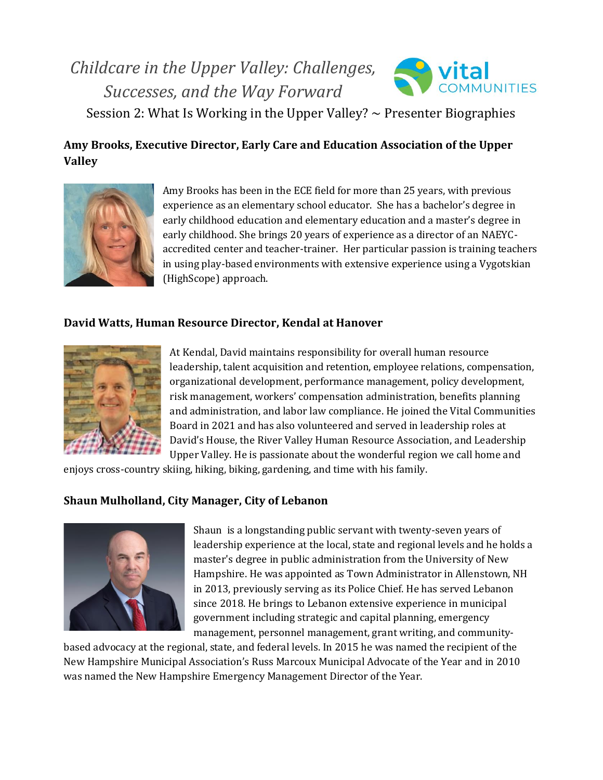# *Childcare in the Upper Valley: Challenges, Successes, and the Way Forward*



Session 2: What Is Working in the Upper Valley?  $\sim$  Presenter Biographies

## **Amy Brooks, Executive Director, Early Care and Education Association of the Upper Valley**



Amy Brooks has been in the ECE field for more than 25 years, with previous experience as an elementary school educator. She has a bachelor's degree in early childhood education and elementary education and a master's degree in early childhood. She brings 20 years of experience as a director of an NAEYCaccredited center and teacher-trainer. Her particular passion is training teachers in using play-based environments with extensive experience using a Vygotskian (HighScope) approach.

#### **David Watts, Human Resource Director, Kendal at Hanover**



At Kendal, David maintains responsibility for overall human resource leadership, talent acquisition and retention, employee relations, compensation, organizational development, performance management, policy development, risk management, workers' compensation administration, benefits planning and administration, and labor law compliance. He joined the Vital Communities Board in 2021 and has also volunteered and served in leadership roles at David's House, the River Valley Human Resource Association, and Leadership Upper Valley. He is passionate about the wonderful region we call home and

enjoys cross-country skiing, hiking, biking, gardening, and time with his family.

#### **Shaun Mulholland, City Manager, City of Lebanon**



Shaun is a longstanding public servant with twenty-seven years of leadership experience at the local, state and regional levels and he holds a master's degree in public administration from the University of New Hampshire. He was appointed as Town Administrator in Allenstown, NH in 2013, previously serving as its Police Chief. He has served Lebanon since 2018. He brings to Lebanon extensive experience in municipal government including strategic and capital planning, emergency management, personnel management, grant writing, and community-

based advocacy at the regional, state, and federal levels. In 2015 he was named the recipient of the New Hampshire Municipal Association's Russ Marcoux Municipal Advocate of the Year and in 2010 was named the New Hampshire Emergency Management Director of the Year.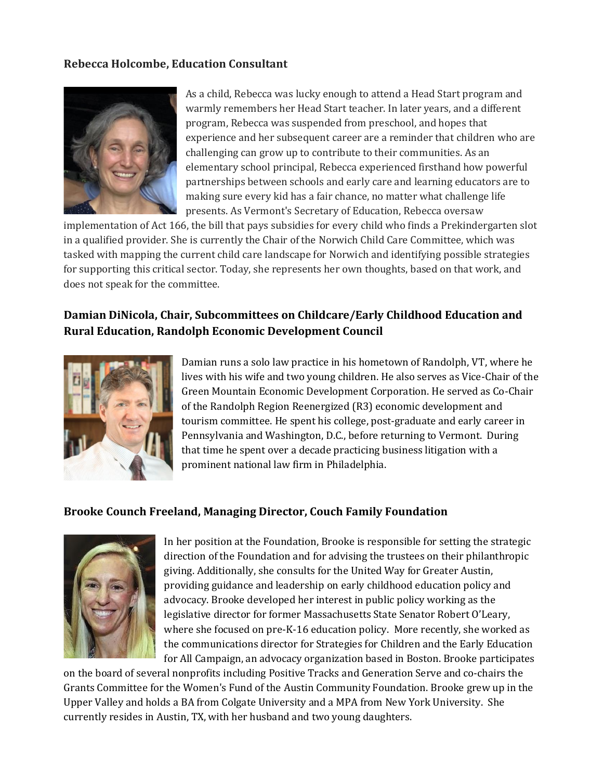#### **Rebecca Holcombe, Education Consultant**



As a child, Rebecca was lucky enough to attend a Head Start program and warmly remembers her Head Start teacher. In later years, and a different program, Rebecca was suspended from preschool, and hopes that experience and her subsequent career are a reminder that children who are challenging can grow up to contribute to their communities. As an elementary school principal, Rebecca experienced firsthand how powerful partnerships between schools and early care and learning educators are to making sure every kid has a fair chance, no matter what challenge life presents. As Vermont's Secretary of Education, Rebecca oversaw

implementation of Act 166, the bill that pays subsidies for every child who finds a Prekindergarten slot in a qualified provider. She is currently the Chair of the Norwich Child Care Committee, which was tasked with mapping the current child care landscape for Norwich and identifying possible strategies for supporting this critical sector. Today, she represents her own thoughts, based on that work, and does not speak for the committee.

### **Damian DiNicola, Chair, Subcommittees on Childcare/Early Childhood Education and Rural Education, Randolph Economic Development Council**



Damian runs a solo law practice in his hometown of Randolph, VT, where he lives with his wife and two young children. He also serves as Vice-Chair of the Green Mountain Economic Development Corporation. He served as Co-Chair of the Randolph Region Reenergized (R3) economic development and tourism committee. He spent his college, post-graduate and early career in Pennsylvania and Washington, D.C., before returning to Vermont. During that time he spent over a decade practicing business litigation with a prominent national law firm in Philadelphia.

#### **Brooke Counch Freeland, Managing Director, Couch Family Foundation**



In her position at the Foundation, Brooke is responsible for setting the strategic direction of the Foundation and for advising the trustees on their philanthropic giving. Additionally, she consults for the United Way for Greater Austin, providing guidance and leadership on early childhood education policy and advocacy. Brooke developed her interest in public policy working as the legislative director for former Massachusetts State Senator Robert O'Leary, where she focused on pre-K-16 education policy. More recently, she worked as the communications director for Strategies for Children and the Early Education for All Campaign, an advocacy organization based in Boston. Brooke participates

on the board of several nonprofits including Positive Tracks and Generation Serve and co-chairs the Grants Committee for the Women's Fund of the Austin Community Foundation. Brooke grew up in the Upper Valley and holds a BA from Colgate University and a MPA from New York University. She currently resides in Austin, TX, with her husband and two young daughters.